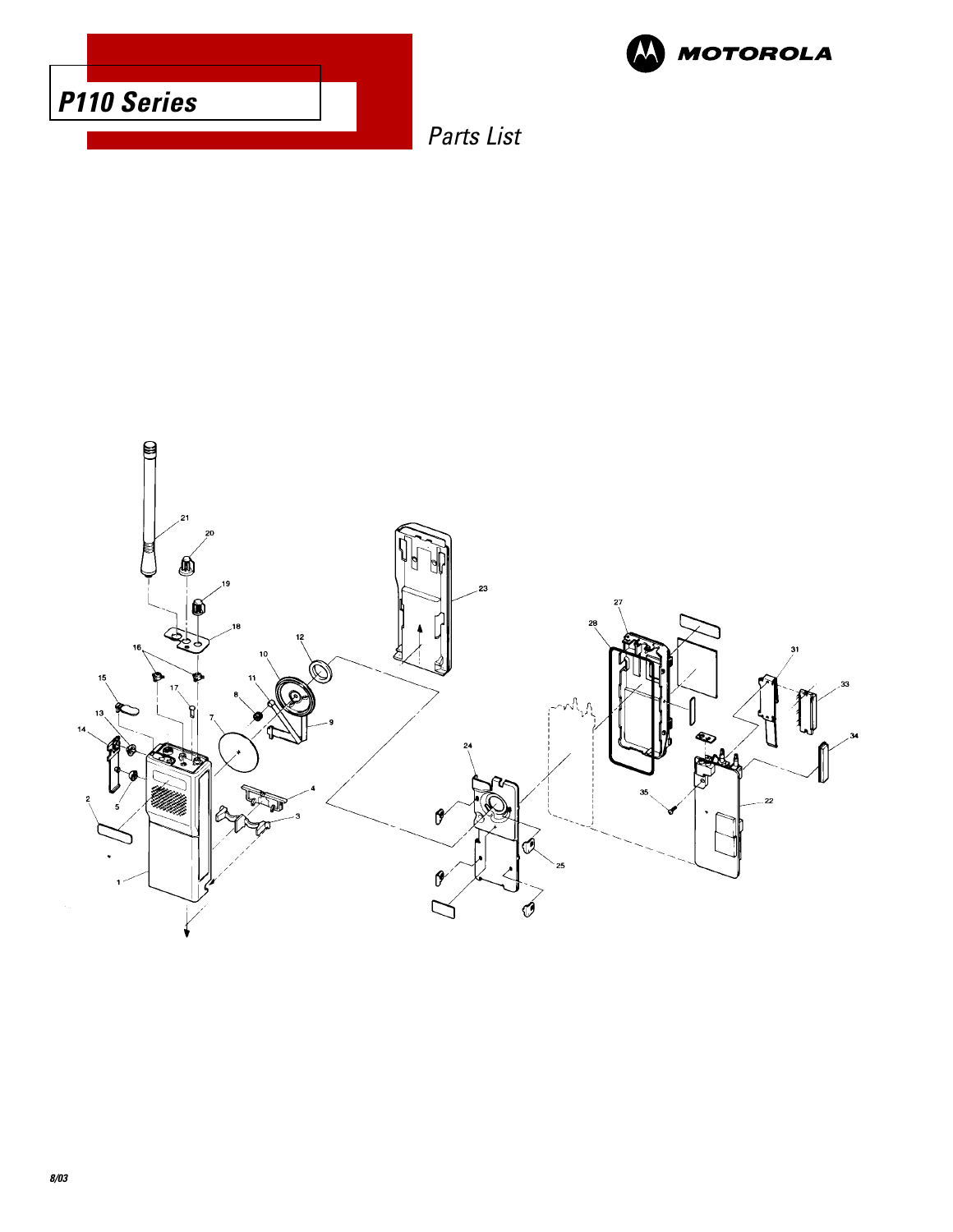



Parts List

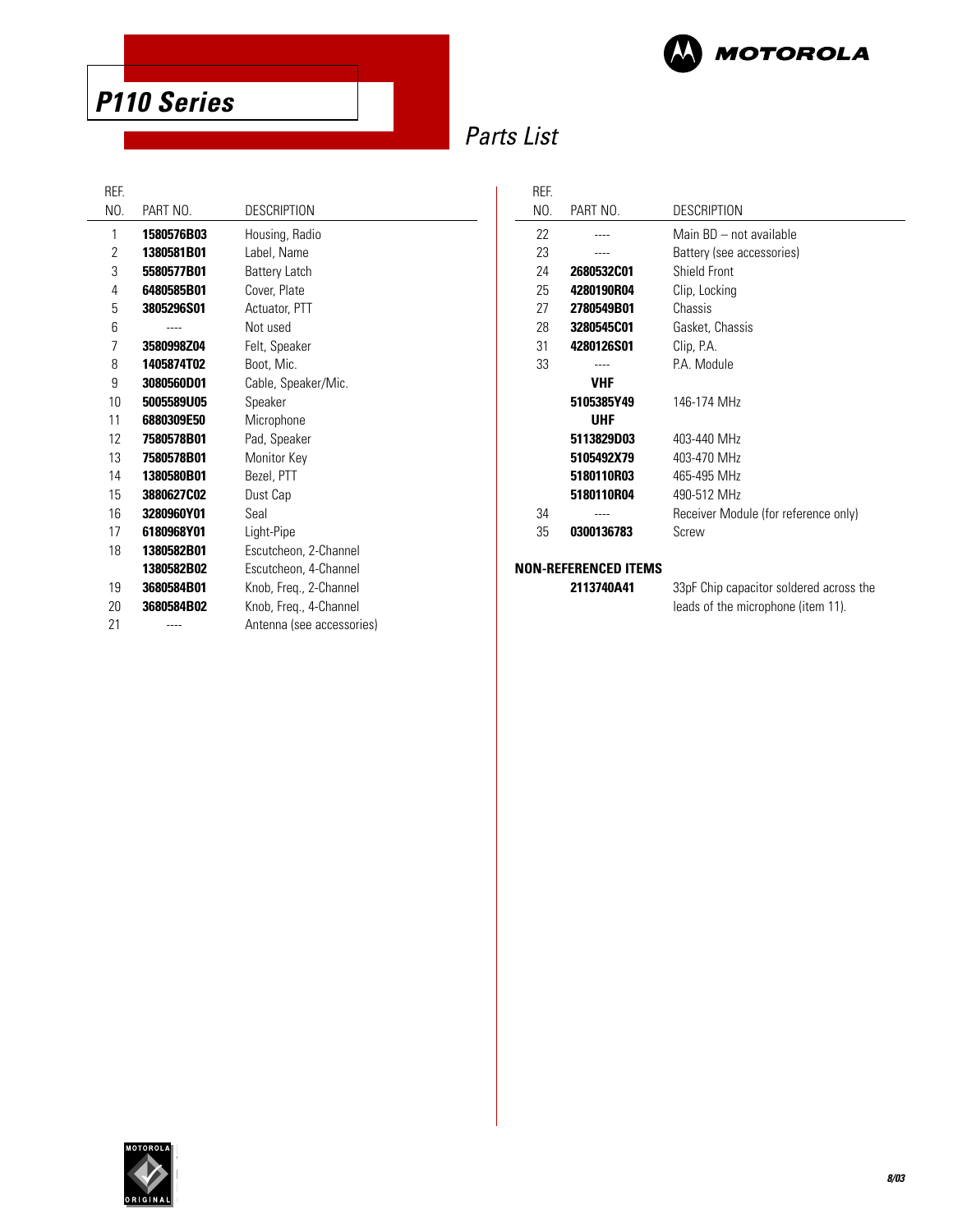

## Parts List

 $\overline{a}$ 

REF.

| DEF. |            |                           |
|------|------------|---------------------------|
| NO.  | PART NO.   | <b>DESCRIPTION</b>        |
| 1    | 1580576B03 | Housing, Radio            |
| 2    | 1380581B01 | Label, Name               |
| 3    | 5580577B01 | <b>Battery Latch</b>      |
| 4    | 6480585B01 | Cover, Plate              |
| 5    | 3805296S01 | Actuator, PTT             |
| 6    |            | Not used                  |
| 7    | 3580998Z04 | Felt, Speaker             |
| 8    | 1405874T02 | Boot, Mic.                |
| 9    | 3080560D01 | Cable, Speaker/Mic.       |
| 10   | 5005589U05 | Speaker                   |
| 11   | 6880309E50 | Microphone                |
| 12   | 7580578B01 | Pad, Speaker              |
| 13   | 7580578B01 | Monitor Key               |
| 14   | 1380580B01 | Bezel, PTT                |
| 15   | 3880627C02 | Dust Cap                  |
| 16   | 3280960Y01 | Seal                      |
| 17   | 6180968Y01 | Light-Pipe                |
| 18   | 1380582B01 | Escutcheon, 2-Channel     |
|      | 1380582B02 | Escutcheon, 4-Channel     |
| 19   | 3680584B01 | Knob, Freq., 2-Channel    |
| 20   | 3680584B02 | Knob, Freq., 4-Channel    |
| 21   |            | Antenna (see accessories) |
|      |            |                           |

| REF. |            |                                      |
|------|------------|--------------------------------------|
| NO.  | PART NO.   | <b>DESCRIPTION</b>                   |
| 22   |            | Main BD - not available              |
| 23   |            | Battery (see accessories)            |
| 24   | 2680532C01 | Shield Front                         |
| 25   | 4280190R04 | Clip, Locking                        |
| 27   | 2780549B01 | Chassis                              |
| 28   | 3280545C01 | Gasket, Chassis                      |
| 31   | 4280126S01 | Clip, P.A.                           |
| 33   |            | PA Module                            |
|      | <b>VHF</b> |                                      |
|      | 5105385Y49 | 146-174 MHz                          |
|      | UHF        |                                      |
|      | 5113829D03 | 403-440 MHz                          |
|      | 5105492X79 | 403-470 MHz                          |
|      | 5180110R03 | 465-495 MHz                          |
|      | 5180110R04 | 490-512 MHz                          |
| 34   | ----       | Receiver Module (for reference only) |
| 35   | 0300136783 | Screw                                |
|      |            |                                      |

#### **NON-REFERENCED ITEMS**

**2113740A41** 33pF Chip capacitor soldered across the leads of the microphone (item 11).

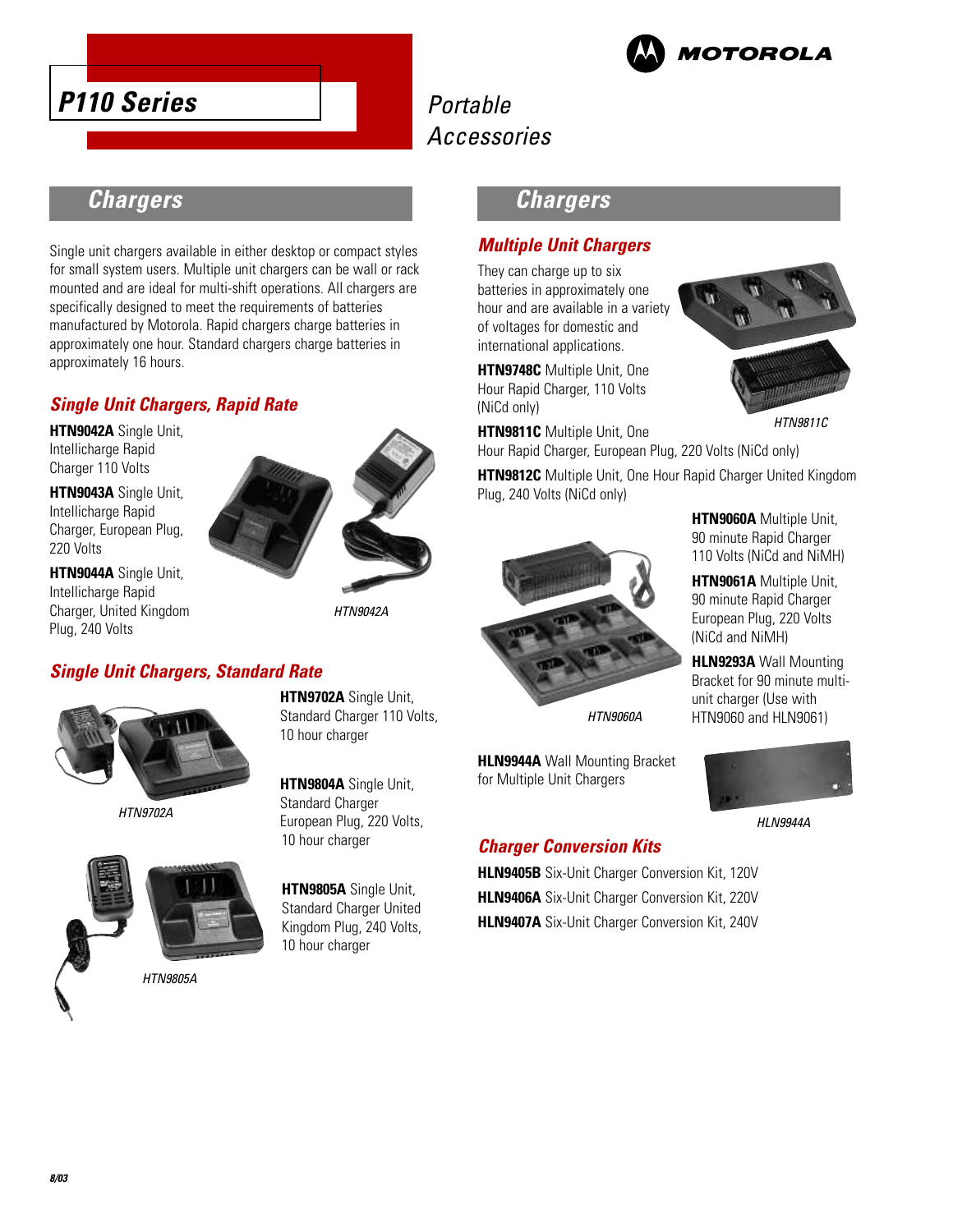

## Portable Accessories

## **Chargers**

Single unit chargers available in either desktop or compact styles for small system users. Multiple unit chargers can be wall or rack mounted and are ideal for multi-shift operations. All chargers are specifically designed to meet the requirements of batteries manufactured by Motorola. Rapid chargers charge batteries in approximately one hour. Standard chargers charge batteries in approximately 16 hours.

## **Single Unit Chargers, Rapid Rate**

**HTN9042A** Single Unit, Intellicharge Rapid Charger 110 Volts

**HTN9043A** Single Unit, Intellicharge Rapid Charger, European Plug, 220 Volts

**HTN9044A** Single Unit, Intellicharge Rapid Charger, United Kingdom Plug, 240 Volts



HTN9042A

### **Single Unit Chargers, Standard Rate**



HTN9702A



**HTN9804A** Single Unit, Standard Charger European Plug, 220 Volts, 10 hour charger

**HTN9702A** Single Unit, Standard Charger 110 Volts,

10 hour charger

**HTN9805A** Single Unit, Standard Charger United Kingdom Plug, 240 Volts, 10 hour charger

## **Chargers**

### **Multiple Unit Chargers**

They can charge up to six batteries in approximately one hour and are available in a variety of voltages for domestic and international applications.

**HTN9748C** Multiple Unit, One Hour Rapid Charger, 110 Volts (NiCd only)



HTN9811C

**HTN9811C** Multiple Unit, One Hour Rapid Charger, European Plug, 220 Volts (NiCd only)

**HTN9812C** Multiple Unit, One Hour Rapid Charger United Kingdom Plug, 240 Volts (NiCd only)



for Multiple Unit Chargers

European Plug, 220 Volts (NiCd and NiMH)

> **HLN9293A** Wall Mounting Bracket for 90 minute multiunit charger (Use with HTN9060 and HLN9061)

**HTN9060A** Multiple Unit, 90 minute Rapid Charger 110 Volts (NiCd and NiMH) **HTN9061A** Multiple Unit, 90 minute Rapid Charger



HLN9944A



**HLN9406A** Six-Unit Charger Conversion Kit, 220V **HLN9407A** Six-Unit Charger Conversion Kit, 240V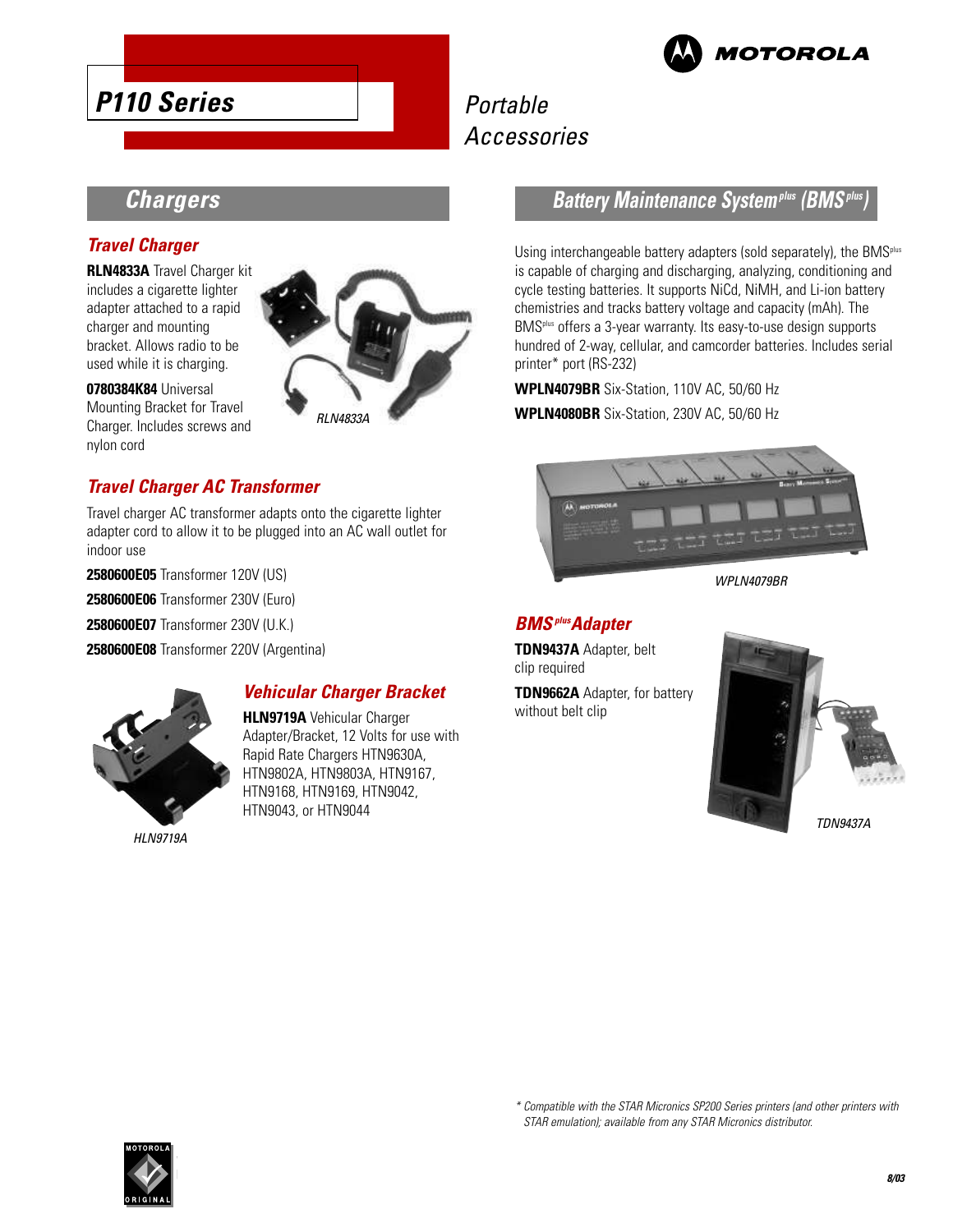

## Portable Accessories

## **Chargers**

#### **Travel Charger**

**RLN4833A** Travel Charger kit includes a cigarette lighter adapter attached to a rapid charger and mounting bracket. Allows radio to be used while it is charging.

**0780384K84** Universal Mounting Bracket for Travel Charger. Includes screws and nylon cord



### **Travel Charger AC Transformer**

Travel charger AC transformer adapts onto the cigarette lighter adapter cord to allow it to be plugged into an AC wall outlet for indoor use

**2580600E05** Transformer 120V (US)

**2580600E06** Transformer 230V (Euro)

**2580600E07** Transformer 230V (U.K.)

**2580600E08** Transformer 220V (Argentina)



HLN9719A

#### **Vehicular Charger Bracket**

**HLN9719A** Vehicular Charger Adapter/Bracket, 12 Volts for use with Rapid Rate Chargers HTN9630A, HTN9802A, HTN9803A, HTN9167, HTN9168, HTN9169, HTN9042, HTN9043, or HTN9044

## **Battery Maintenance Systemplus (BMSplus)**

Using interchangeable battery adapters (sold separately), the BMS<sup>plus</sup> is capable of charging and discharging, analyzing, conditioning and cycle testing batteries. It supports NiCd, NiMH, and Li-ion battery chemistries and tracks battery voltage and capacity (mAh). The BMS<sup>plus</sup> offers a 3-year warranty. Its easy-to-use design supports hundred of 2-way, cellular, and camcorder batteries. Includes serial printer\* port (RS-232)

**WPLN4079BR** Six-Station, 110V AC, 50/60 Hz **WPLN4080BR** Six-Station, 230V AC, 50/60 Hz



WPLN4079BR

#### **BMSplusAdapter**

**TDN9437A** Adapter, belt clip required

**TDN9662A** Adapter, for battery without belt clip



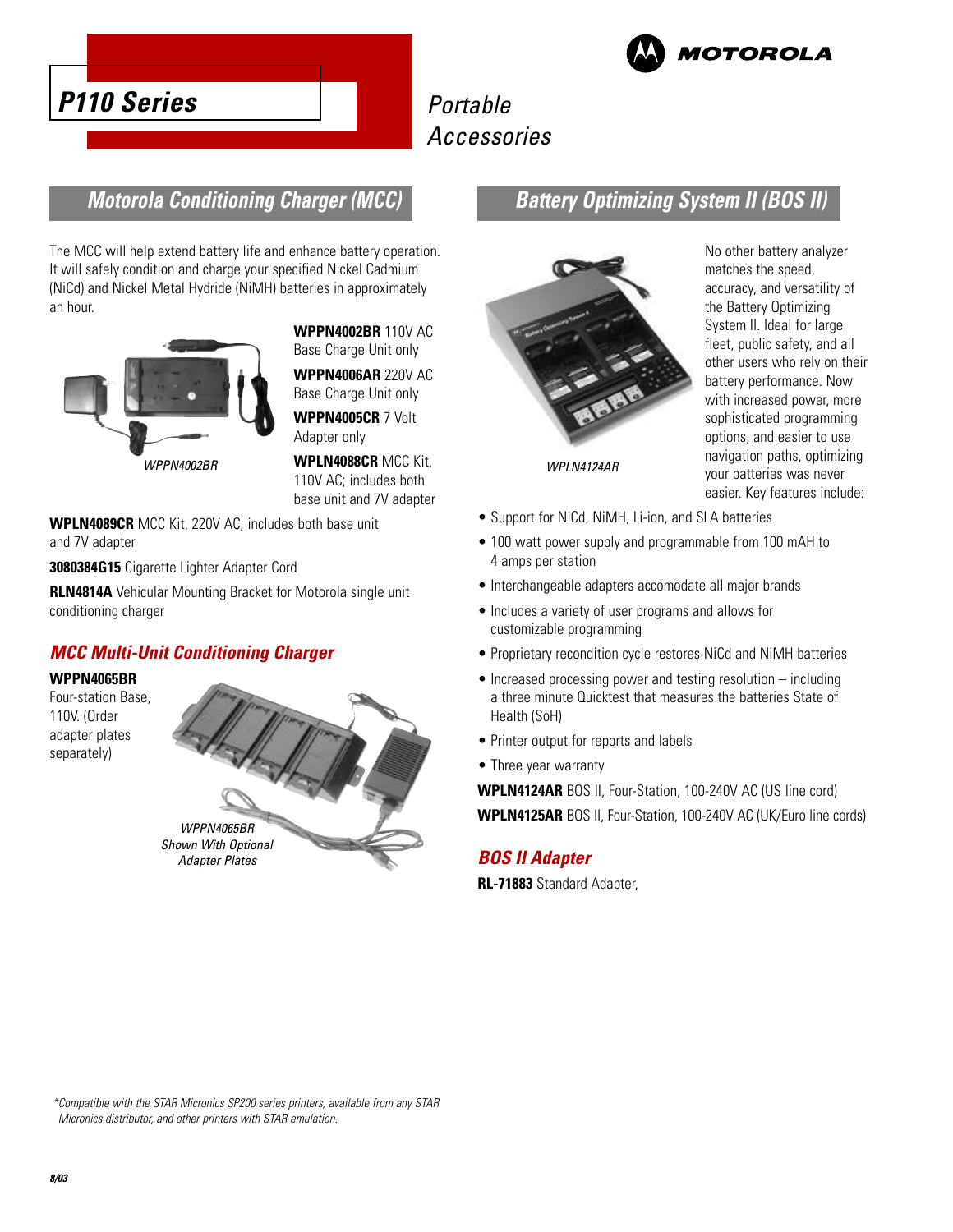

## Portable Accessories



## **Motorola Conditioning Charger (MCC)**

The MCC will help extend battery life and enhance battery operation. It will safely condition and charge your specified Nickel Cadmium (NiCd) and Nickel Metal Hydride (NiMH) batteries in approximately an hour.



**WPPN4002BR** 110V AC Base Charge Unit only

**WPPN4006AR** 220V AC Base Charge Unit only

**WPPN4005CR** 7 Volt Adapter only

**WPLN4088CR** MCC Kit, 110V AC; includes both base unit and 7V adapter

**WPLN4089CR** MCC Kit, 220V AC; includes both base unit and 7V adapter

**3080384G15** Cigarette Lighter Adapter Cord

**RLN4814A** Vehicular Mounting Bracket for Motorola single unit conditioning charger

### **MCC Multi-Unit Conditioning Charger**

**WPPN4065BR**

Four-station Base, 110V. (Order adapter plates separately)



## **Battery Optimizing System II (BOS II)**



No other battery analyzer matches the speed, accuracy, and versatility of the Battery Optimizing System II. Ideal for large fleet, public safety, and all other users who rely on their battery performance. Now with increased power, more sophisticated programming options, and easier to use navigation paths, optimizing your batteries was never easier. Key features include:

- Support for NiCd, NiMH, Li-ion, and SLA batteries
- 100 watt power supply and programmable from 100 mAH to 4 amps per station
- Interchangeable adapters accomodate all major brands
- Includes a variety of user programs and allows for customizable programming
- Proprietary recondition cycle restores NiCd and NiMH batteries
- Increased processing power and testing resolution including a three minute Quicktest that measures the batteries State of Health (SoH)
- Printer output for reports and labels
- Three year warranty

**WPLN4124AR** BOS II, Four-Station, 100-240V AC (US line cord) **WPLN4125AR** BOS II, Four-Station, 100-240V AC (UK/Euro line cords)

### **BOS II Adapter**

**RL-71883** Standard Adapter,

\*Compatible with the STAR Micronics SP200 series printers, available from any STAR Micronics distributor, and other printers with STAR emulation.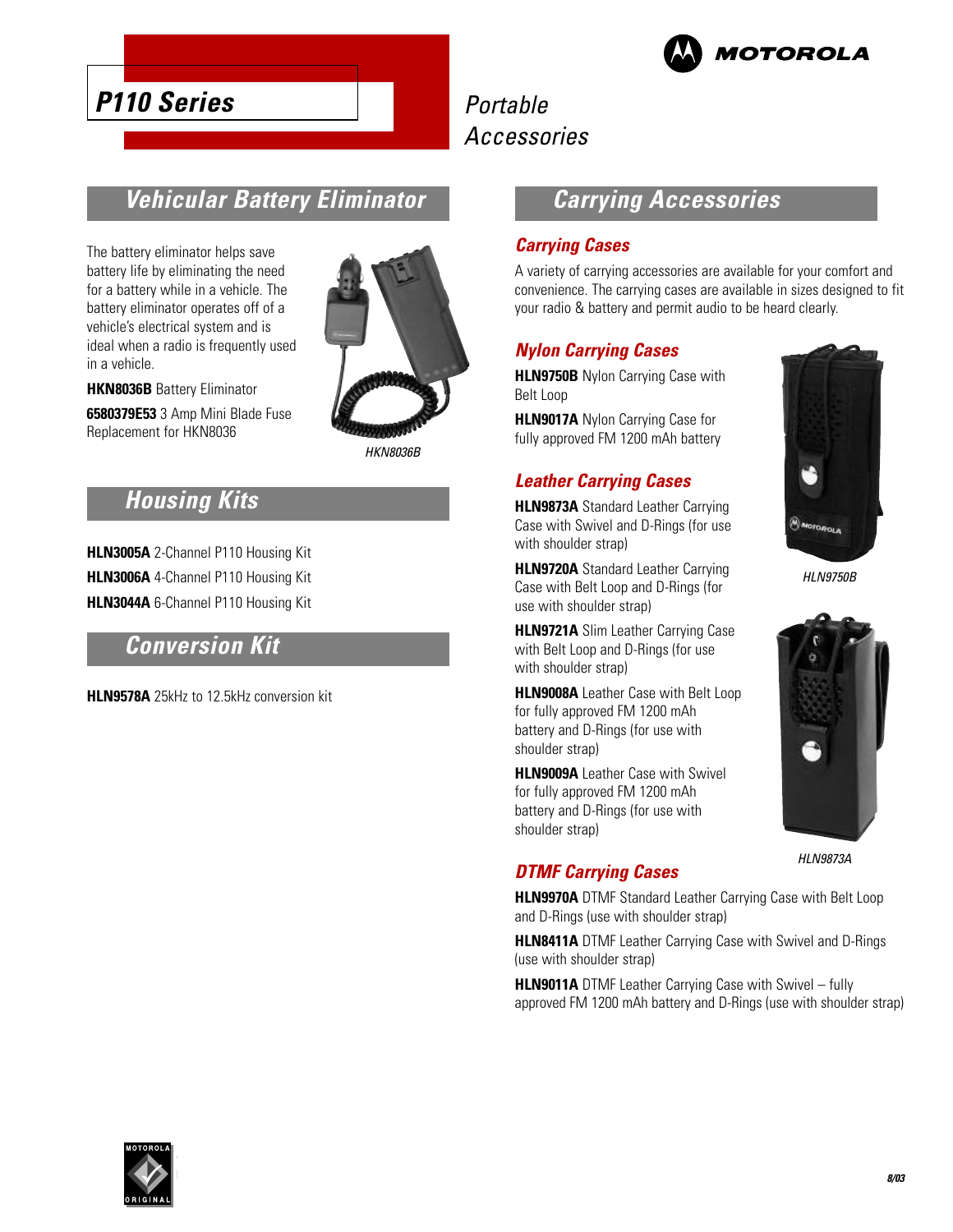

## Portable Accessories

## **Vehicular Battery Eliminator**

The battery eliminator helps save battery life by eliminating the need for a battery while in a vehicle. The battery eliminator operates off of a vehicle's electrical system and is ideal when a radio is frequently used in a vehicle.

**HKN8036B** Battery Eliminator **6580379E53** 3 Amp Mini Blade Fuse Replacement for HKN8036



HKN8036B

## **Housing Kits**

**HLN3005A** 2-Channel P110 Housing Kit **HLN3006A** 4-Channel P110 Housing Kit **HLN3044A** 6-Channel P110 Housing Kit

## **Conversion Kit**

**HLN9578A** 25kHz to 12.5kHz conversion kit

## **Carrying Accessories**

#### **Carrying Cases**

A variety of carrying accessories are available for your comfort and convenience. The carrying cases are available in sizes designed to fit your radio & battery and permit audio to be heard clearly.

#### **Nylon Carrying Cases**

**HLN9750B** Nylon Carrying Case with Belt Loop

**HLN9017A** Nylon Carrying Case for fully approved FM 1200 mAh battery

## **Leather Carrying Cases**

**HLN9873A** Standard Leather Carrying Case with Swivel and D-Rings (for use with shoulder strap)

**HLN9720A** Standard Leather Carrying Case with Belt Loop and D-Rings (for use with shoulder strap)

**HLN9721A** Slim Leather Carrying Case with Belt Loop and D-Rings (for use with shoulder strap)

**HLN9008A** Leather Case with Belt Loop for fully approved FM 1200 mAh battery and D-Rings (for use with shoulder strap)

**HLN9009A** Leather Case with Swivel for fully approved FM 1200 mAh battery and D-Rings (for use with shoulder strap)



HLN9750B



HLN9873A

## **DTMF Carrying Cases**

**HLN9970A** DTMF Standard Leather Carrying Case with Belt Loop and D-Rings (use with shoulder strap)

**HLN8411A** DTMF Leather Carrying Case with Swivel and D-Rings (use with shoulder strap)

**HLN9011A** DTMF Leather Carrying Case with Swivel – fully approved FM 1200 mAh battery and D-Rings (use with shoulder strap)

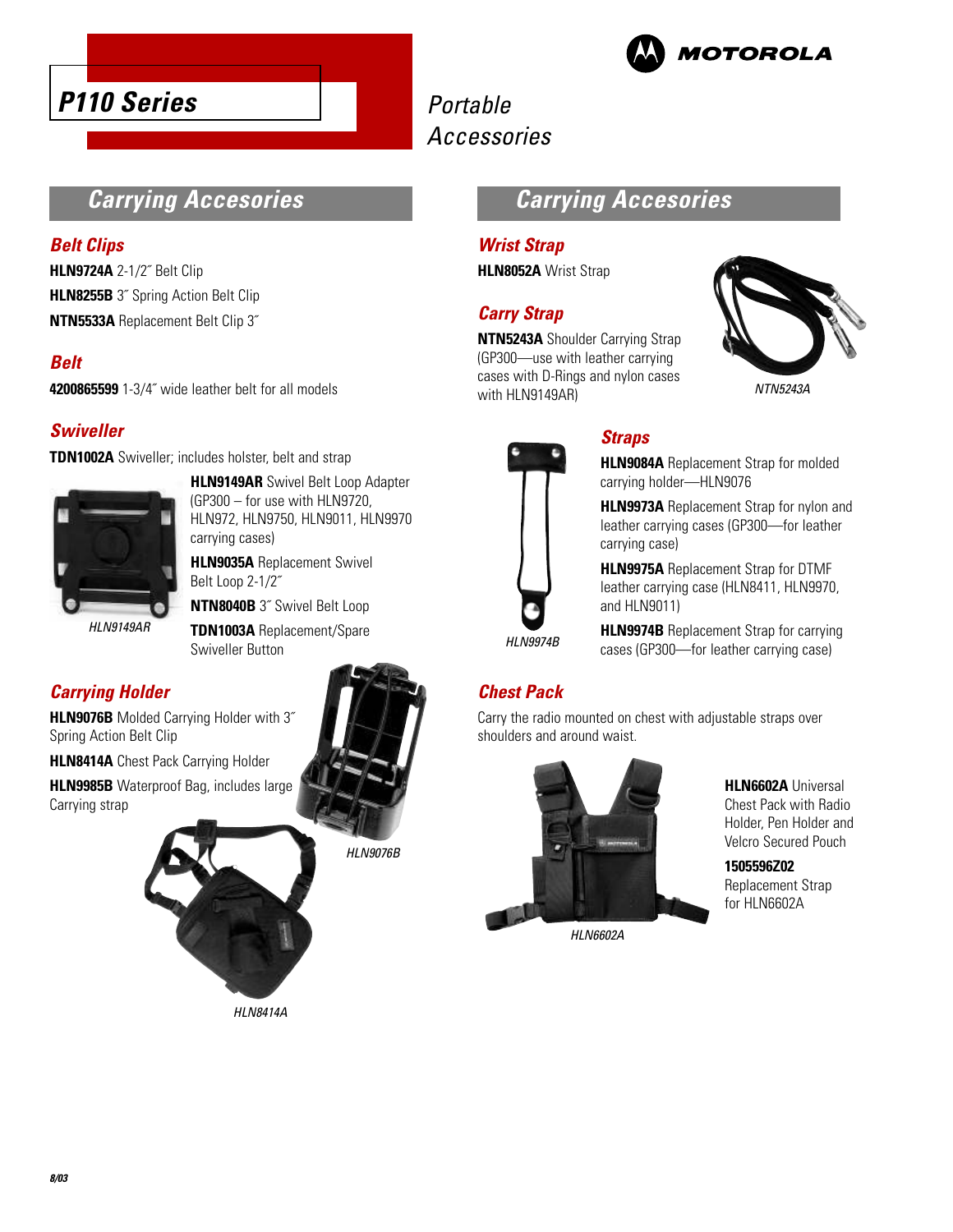

## Portable Accessories

## **Carrying Accesories**

#### **Belt Clips**

**HLN9724A** 2-1/2˝ Belt Clip **HLN8255B** 3<sup>"</sup> Spring Action Belt Clip **NTN5533A** Replacement Belt Clip 3˝

### **Belt**

**4200865599** 1-3/4˝ wide leather belt for all models

### **Swiveller**

**TDN1002A** Swiveller; includes holster, belt and strap



**HLN9149AR** Swivel Belt Loop Adapter (GP300 – for use with HLN9720, HLN972, HLN9750, HLN9011, HLN9970 carrying cases)

**HLN9035A** Replacement Swivel Belt Loop 2-1/2˝

**NTN8040B** 3˝ Swivel Belt Loop

**TDN1003A** Replacement/Spare Swiveller Button

## **Carrying Holder**

**HLN9076B** Molded Carrying Holder with 3˝ Spring Action Belt Clip

**HLN8414A** Chest Pack Carrying Holder

**HLN9985B** Waterproof Bag, includes large Carrying strap



HLN8414A



#### **Wrist Strap**

**HLN8052A** Wrist Strap

### **Carry Strap**

**NTN5243A** Shoulder Carrying Strap (GP300—use with leather carrying cases with D-Rings and nylon cases with HLN9149AR)





## **Straps**

**HLN9084A** Replacement Strap for molded carrying holder—HLN9076

**HLN9973A** Replacement Strap for nylon and leather carrying cases (GP300—for leather carrying case)

**HLN9975A** Replacement Strap for DTMF leather carrying case (HLN8411, HLN9970, and HLN9011)

**HLN9974B** Replacement Strap for carrying cases (GP300—for leather carrying case)

## **Chest Pack**

Carry the radio mounted on chest with adjustable straps over shoulders and around waist.



HLN6602A

**HLN6602A** Universal Chest Pack with Radio Holder, Pen Holder and Velcro Secured Pouch

**1505596Z02** Replacement Strap for HLN6602A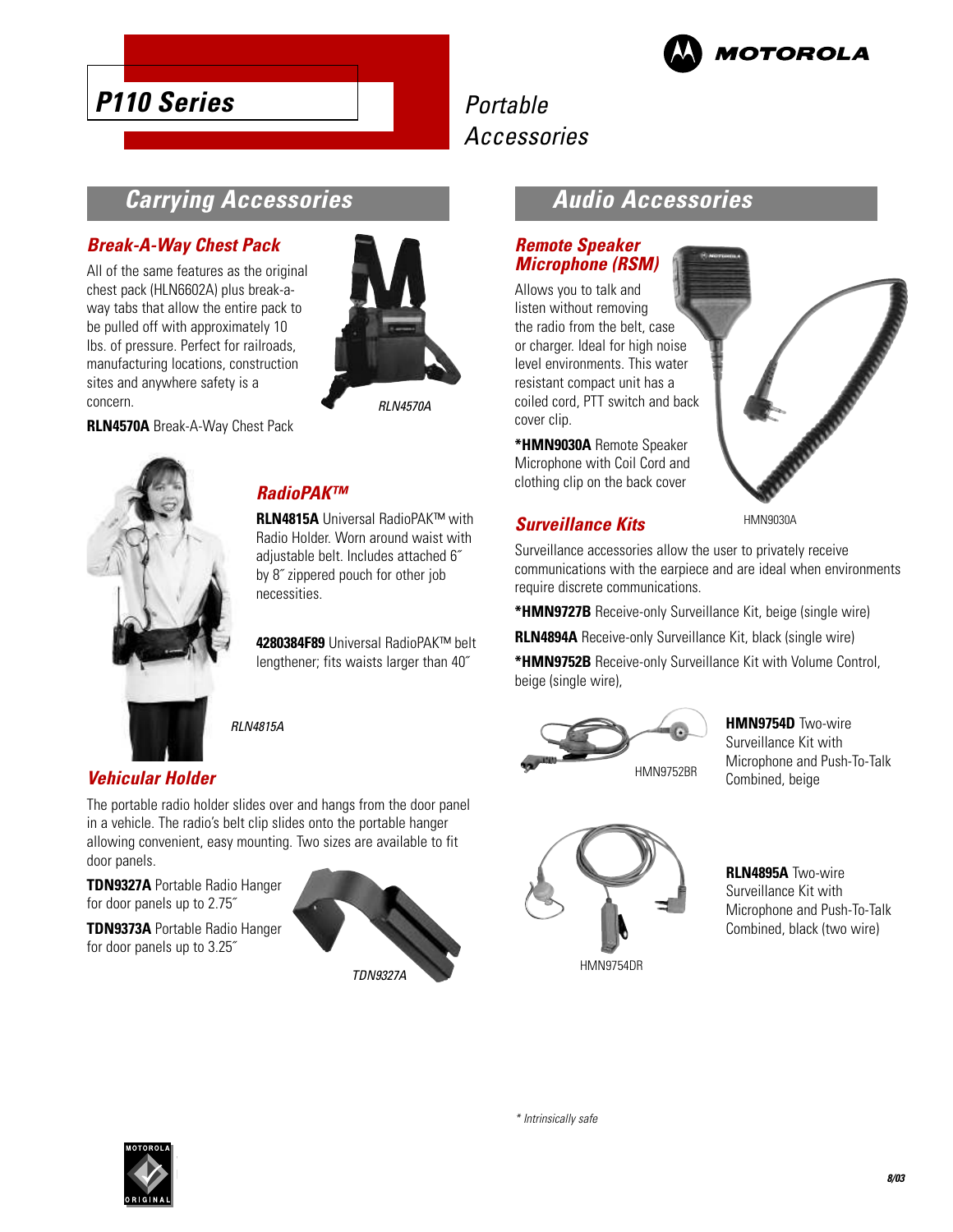

## Portable Accessories

## **Carrying Accessories**

#### **Break-A-Way Chest Pack**

All of the same features as the original chest pack (HLN6602A) plus break-away tabs that allow the entire pack to be pulled off with approximately 10 lbs. of pressure. Perfect for railroads, manufacturing locations, construction sites and anywhere safety is a concern.

**RLN4570A** Break-A-Way Chest Pack



RLN4570A



#### **RadioPAK™**

**RLN4815A** Universal RadioPAK™ with Radio Holder. Worn around waist with adjustable belt. Includes attached 6˝ by 8˝ zippered pouch for other job necessities.

**4280384F89** Universal RadioPAK™ belt lengthener; fits waists larger than 40˝

RLN4815A

## **Vehicular Holder**

The portable radio holder slides over and hangs from the door panel in a vehicle. The radio's belt clip slides onto the portable hanger allowing convenient, easy mounting. Two sizes are available to fit door panels.

**TDN9327A** Portable Radio Hanger for door panels up to 2.75˝

**TDN9373A** Portable Radio Hanger for door panels up to 3.25˝



## **Audio Accessories**

#### **Remote Speaker Microphone (RSM)**

Allows you to talk and listen without removing the radio from the belt, case or charger. Ideal for high noise level environments. This water resistant compact unit has a coiled cord, PTT switch and back cover clip.

**\*HMN9030A** Remote Speaker Microphone with Coil Cord and clothing clip on the back cover

### **Surveillance Kits**

HMN9030A

Surveillance accessories allow the user to privately receive communications with the earpiece and are ideal when environments require discrete communications.

**\*HMN9727B** Receive-only Surveillance Kit, beige (single wire)

**RLN4894A** Receive-only Surveillance Kit, black (single wire)

**\*HMN9752B** Receive-only Surveillance Kit with Volume Control, beige (single wire),



**HMN9754D** Two-wire Surveillance Kit with Microphone and Push-To-Talk Combined, beige



**RLN4895A** Two-wire Surveillance Kit with Microphone and Push-To-Talk Combined, black (two wire)

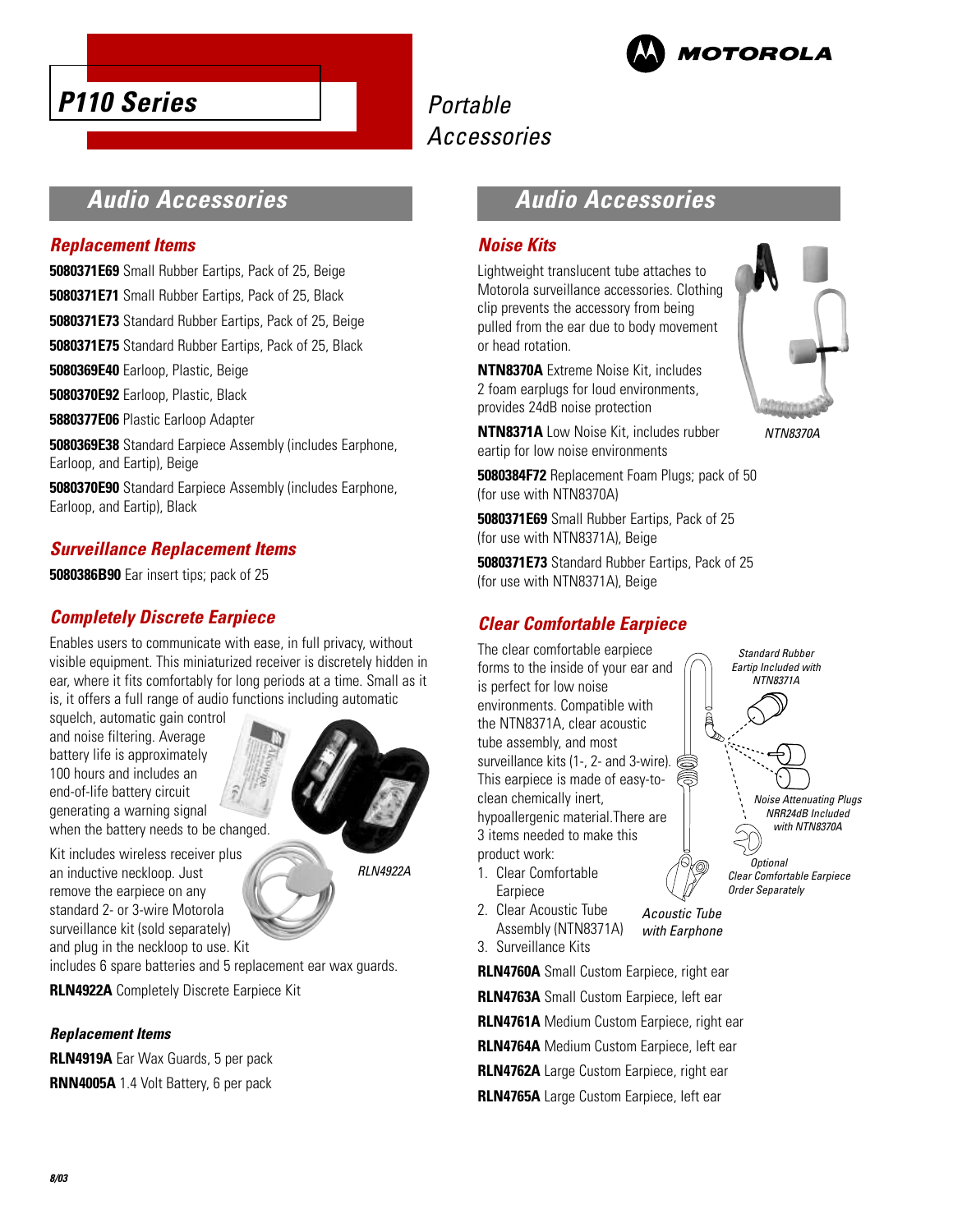# **MOTOROLA**

## Portable Accessories

## **Audio Accessories**

#### **Replacement Items**

**5080371E69** Small Rubber Eartips, Pack of 25, Beige

**5080371E71** Small Rubber Eartips, Pack of 25, Black

**5080371E73** Standard Rubber Eartips, Pack of 25, Beige

**5080371E75** Standard Rubber Eartips, Pack of 25, Black

**5080369E40** Earloop, Plastic, Beige

**5080370E92** Earloop, Plastic, Black

**5880377E06** Plastic Earloop Adapter

**5080369E38** Standard Earpiece Assembly (includes Earphone, Earloop, and Eartip), Beige

**5080370E90** Standard Earpiece Assembly (includes Earphone, Earloop, and Eartip), Black

## **Surveillance Replacement Items**

**5080386B90** Ear insert tips; pack of 25

### **Completely Discrete Earpiece**

Enables users to communicate with ease, in full privacy, without visible equipment. This miniaturized receiver is discretely hidden in ear, where it fits comfortably for long periods at a time. Small as it is, it offers a full range of audio functions including automatic

squelch, automatic gain control and noise filtering. Average battery life is approximately 100 hours and includes an end-of-life battery circuit generating a warning signal when the battery needs to be changed.

Kit includes wireless receiver plus an inductive neckloop. Just remove the earpiece on any standard 2- or 3-wire Motorola surveillance kit (sold separately) and plug in the neckloop to use. Kit

RLN4922A

includes 6 spare batteries and 5 replacement ear wax guards.

**RLN4922A** Completely Discrete Earpiece Kit

#### **Replacement Items**

**RLN4919A** Ear Wax Guards, 5 per pack **RNN4005A** 1.4 Volt Battery, 6 per pack

## **Audio Accessories**

#### **Noise Kits**

Lightweight translucent tube attaches to Motorola surveillance accessories. Clothing clip prevents the accessory from being pulled from the ear due to body movement or head rotation.

**NTN8370A** Extreme Noise Kit, includes 2 foam earplugs for loud environments, provides 24dB noise protection

**NTN8371A** Low Noise Kit, includes rubber eartip for low noise environments

**5080384F72** Replacement Foam Plugs; pack of 50 (for use with NTN8370A)

**5080371E69** Small Rubber Eartips, Pack of 25 (for use with NTN8371A), Beige

**5080371E73** Standard Rubber Eartips, Pack of 25 (for use with NTN8371A), Beige

## **Clear Comfortable Earpiece**

The clear comfortable earpiece forms to the inside of your ear and is perfect for low noise environments. Compatible with the NTN8371A, clear acoustic tube assembly, and most surveillance kits (1-, 2- and 3-wire). This earpiece is made of easy-toclean chemically inert, hypoallergenic material.There are 3 items needed to make this product work:

- 1. Clear Comfortable Earpiece
- 2. Clear Acoustic Tube Assembly (NTN8371A) Acoustic Tube, with Earphone

3. Surveillance Kits **RLN4760A** Small Custom Earpiece, right ear

**RLN4763A** Small Custom Earpiece, left ear **RLN4761A** Medium Custom Earpiece, right ear **RLN4764A** Medium Custom Earpiece, left ear **RLN4762A** Large Custom Earpiece, right ear

**RLN4765A** Large Custom Earpiece, left ear



NTN8370A

Noise Attenuating Plugs, NRR24dB Included, with NTN8370A

Standard Rubber, Eartip Included with NTN8371A

**Optional** Clear Comfortable Earpiece, Order Separately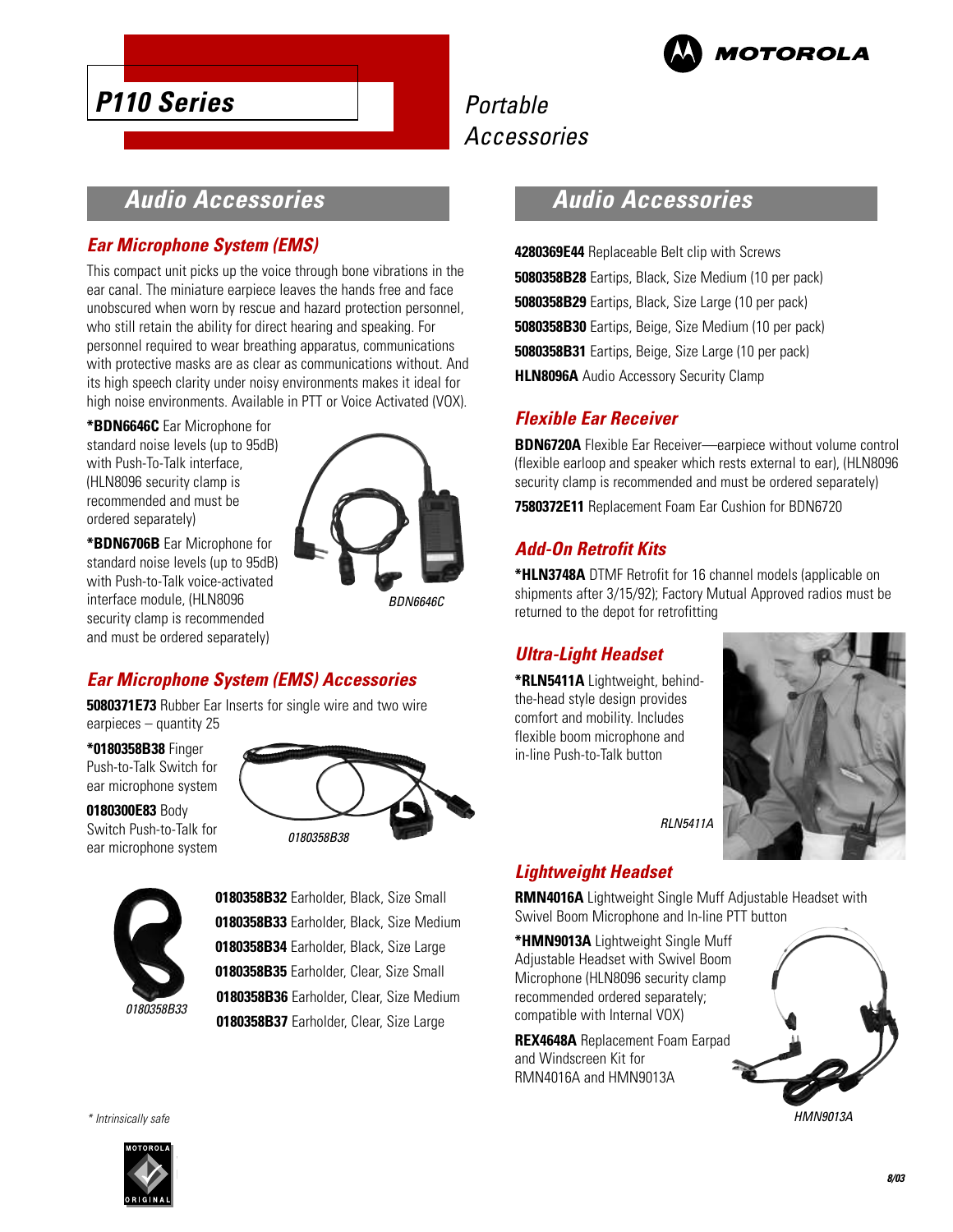

## Portable Accessories

## **Audio Accessories**

## **Ear Microphone System (EMS)**

This compact unit picks up the voice through bone vibrations in the ear canal. The miniature earpiece leaves the hands free and face unobscured when worn by rescue and hazard protection personnel, who still retain the ability for direct hearing and speaking. For personnel required to wear breathing apparatus, communications with protective masks are as clear as communications without. And its high speech clarity under noisy environments makes it ideal for high noise environments. Available in PTT or Voice Activated (VOX).

**\*BDN6646C** Ear Microphone for standard noise levels (up to 95dB) with Push-To-Talk interface, (HLN8096 security clamp is recommended and must be ordered separately)

**\*BDN6706B** Ear Microphone for standard noise levels (up to 95dB) with Push-to-Talk voice-activated interface module, (HLN8096 security clamp is recommended and must be ordered separately)



BDN6646C

## **Ear Microphone System (EMS) Accessories**

**5080371E73** Rubber Ear Inserts for single wire and two wire earpieces – quantity 25

**\*0180358B38** Finger Push-to-Talk Switch for ear microphone system

**0180300E83** Body Switch Push-to-Talk for ear microphone system





**0180358B32** Earholder, Black, Size Small **0180358B33** Earholder, Black, Size Medium **0180358B34** Earholder, Black, Size Large **0180358B35** Earholder, Clear, Size Small **0180358B36** Earholder, Clear, Size Medium

**0180358B37** Earholder, Clear, Size Large

## **Audio Accessories**

**4280369E44** Replaceable Belt clip with Screws **5080358B28** Eartips, Black, Size Medium (10 per pack) **5080358B29** Eartips, Black, Size Large (10 per pack) **5080358B30** Eartips, Beige, Size Medium (10 per pack) **5080358B31** Eartips, Beige, Size Large (10 per pack) **HLN8096A** Audio Accessory Security Clamp

### **Flexible Ear Receiver**

**BDN6720A** Flexible Ear Receiver—earpiece without volume control (flexible earloop and speaker which rests external to ear), (HLN8096 security clamp is recommended and must be ordered separately)

**7580372E11** Replacement Foam Ear Cushion for BDN6720

## **Add-On Retrofit Kits**

**\*HLN3748A** DTMF Retrofit for 16 channel models (applicable on shipments after 3/15/92); Factory Mutual Approved radios must be returned to the depot for retrofitting

## **Ultra-Light Headset**

**\*RLN5411A** Lightweight, behindthe-head style design provides comfort and mobility. Includes flexible boom microphone and in-line Push-to-Talk button



RLN5411A

## **Lightweight Headset**

**RMN4016A** Lightweight Single Muff Adjustable Headset with Swivel Boom Microphone and In-line PTT button

**\*HMN9013A** Lightweight Single Muff Adjustable Headset with Swivel Boom Microphone (HLN8096 security clamp recommended ordered separately; compatible with Internal VOX)

**REX4648A** Replacement Foam Earpad and Windscreen Kit for RMN4016A and HMN9013A



HMN9013A



\* Intrinsically safe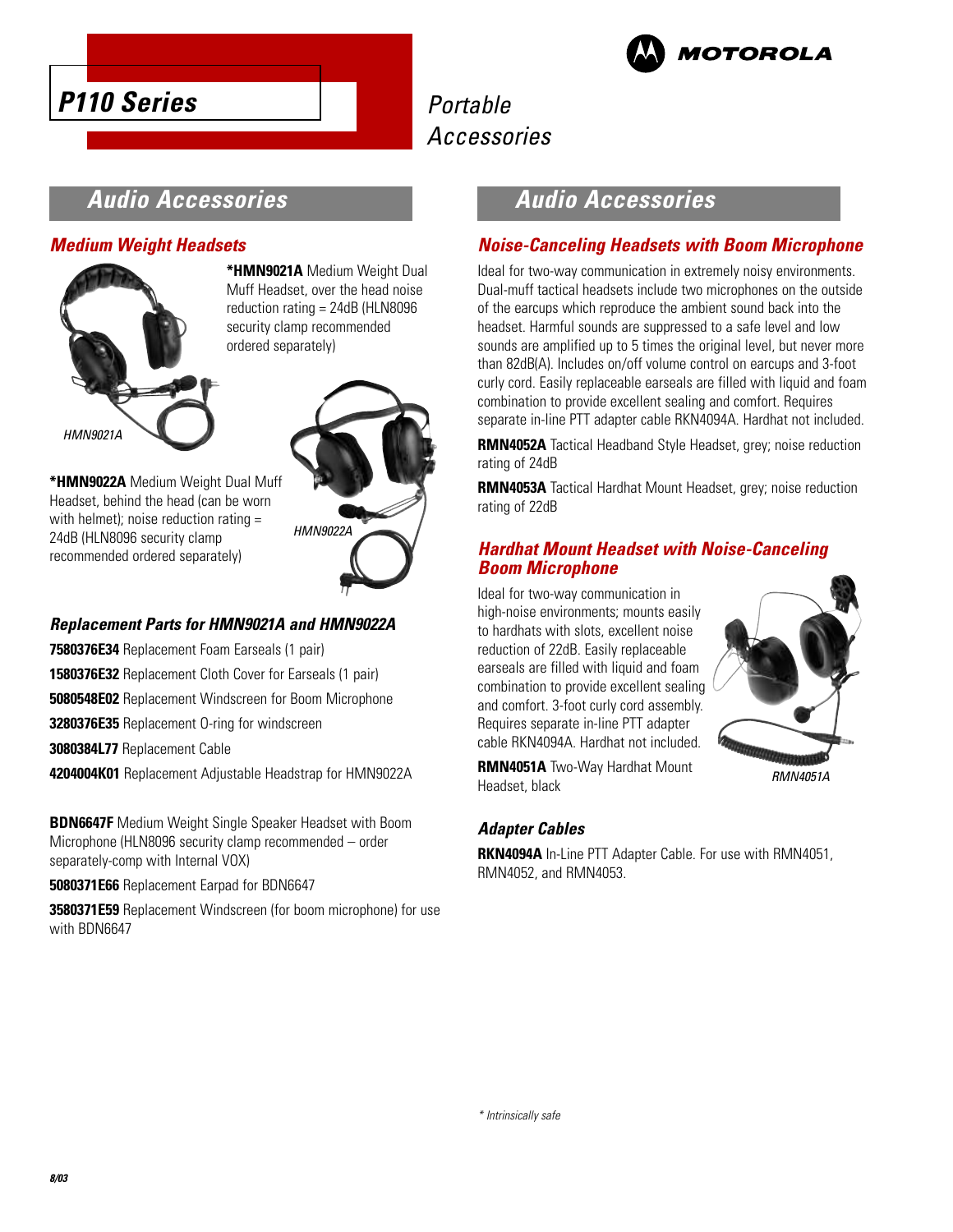



## Portable Accessories

## **Audio Accessories**

#### **Medium Weight Headsets**



**\*HMN9021A** Medium Weight Dual Muff Headset, over the head noise reduction rating = 24dB (HLN8096 security clamp recommended ordered separately)



**\*HMN9022A** Medium Weight Dual Muff Headset, behind the head (can be worn with helmet); noise reduction rating = 24dB (HLN8096 security clamp recommended ordered separately)

### **Replacement Parts for HMN9021A and HMN9022A**

**7580376E34** Replacement Foam Earseals (1 pair)

**1580376E32** Replacement Cloth Cover for Earseals (1 pair)

**5080548E02** Replacement Windscreen for Boom Microphone

**3280376E35** Replacement O-ring for windscreen

**3080384L77** Replacement Cable

**4204004K01** Replacement Adjustable Headstrap for HMN9022A

**BDN6647F** Medium Weight Single Speaker Headset with Boom Microphone (HLN8096 security clamp recommended – order separately-comp with Internal VOX)

**5080371E66** Replacement Earpad for BDN6647

**3580371E59** Replacement Windscreen (for boom microphone) for use with BDN6647

## **Audio Accessories**

### **Noise-Canceling Headsets with Boom Microphone**

Ideal for two-way communication in extremely noisy environments. Dual-muff tactical headsets include two microphones on the outside of the earcups which reproduce the ambient sound back into the headset. Harmful sounds are suppressed to a safe level and low sounds are amplified up to 5 times the original level, but never more than 82dB(A). Includes on/off volume control on earcups and 3-foot curly cord. Easily replaceable earseals are filled with liquid and foam combination to provide excellent sealing and comfort. Requires separate in-line PTT adapter cable RKN4094A. Hardhat not included.

**RMN4052A** Tactical Headband Style Headset, grey; noise reduction rating of 24dB

**RMN4053A** Tactical Hardhat Mount Headset, grey; noise reduction rating of 22dB

#### **Hardhat Mount Headset with Noise-Canceling Boom Microphone**

Ideal for two-way communication in high-noise environments; mounts easily to hardhats with slots, excellent noise reduction of 22dB. Easily replaceable earseals are filled with liquid and foam combination to provide excellent sealing and comfort. 3-foot curly cord assembly. Requires separate in-line PTT adapter cable RKN4094A. Hardhat not included.



**RMN4051A** Two-Way Hardhat Mount Headset, black

### **Adapter Cables**

**RKN4094A** In-Line PTT Adapter Cable. For use with RMN4051, RMN4052, and RMN4053.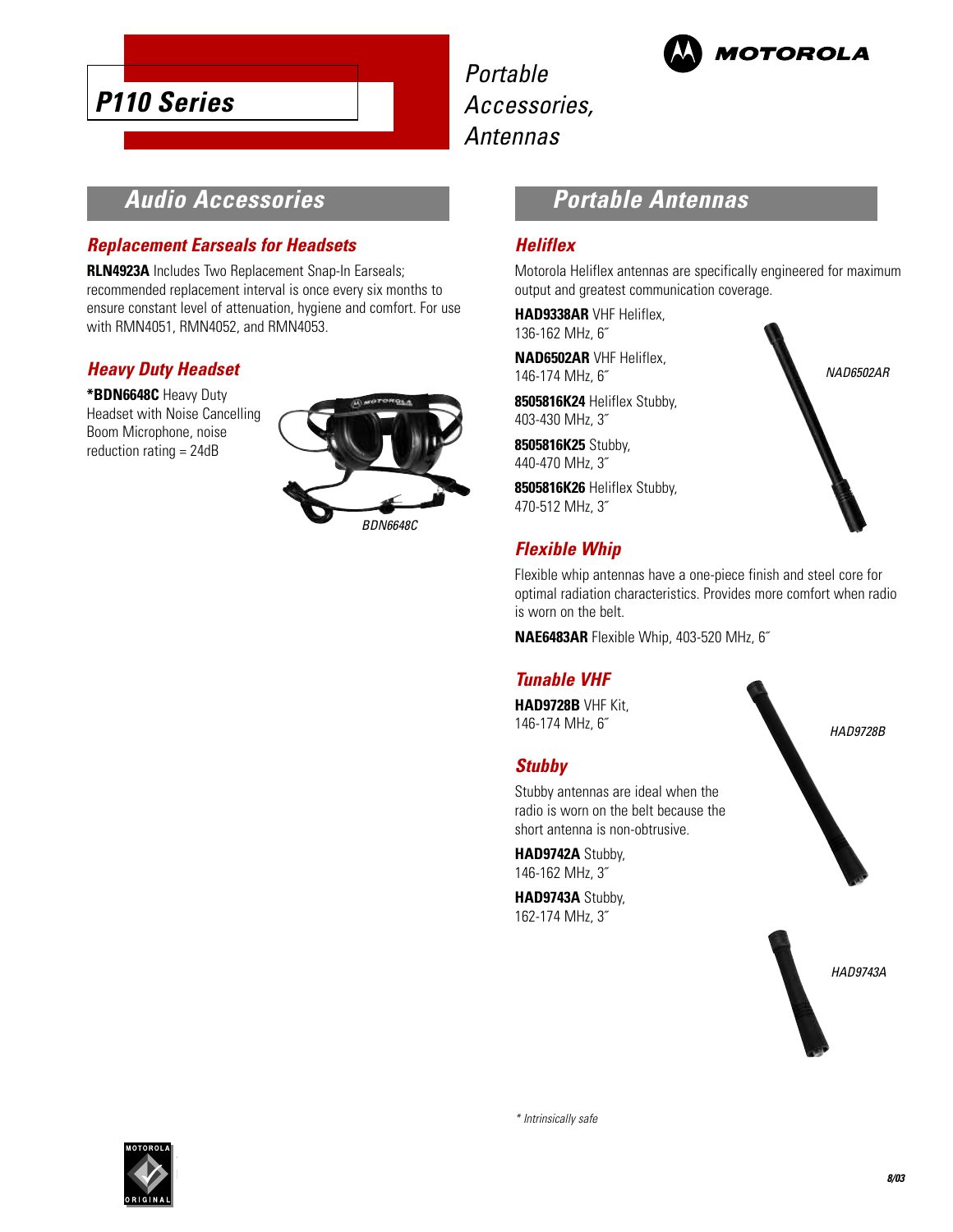

Portable Accessories, Antennas



**Audio Accessories**

### **Replacement Earseals for Headsets**

**RLN4923A** Includes Two Replacement Snap-In Earseals; recommended replacement interval is once every six months to ensure constant level of attenuation, hygiene and comfort. For use with RMN4051, RMN4052, and RMN4053.

### **Heavy Duty Headset**

**\*BDN6648C** Heavy Duty Headset with Noise Cancelling Boom Microphone, noise reduction rating = 24dB



## **Portable Antennas**

#### **Heliflex**

Motorola Heliflex antennas are specifically engineered for maximum output and greatest communication coverage.

**HAD9338AR** VHF Heliflex, 136-162 MHz, 6˝

**NAD6502AR** VHF Heliflex, 146-174 MHz, 6˝

**8505816K24** Heliflex Stubby, 403-430 MHz, 3˝

**8505816K25** Stubby, 440-470 MHz, 3˝

**8505816K26** Heliflex Stubby, 470-512 MHz, 3˝

## **Flexible Whip**

Flexible whip antennas have a one-piece finish and steel core for optimal radiation characteristics. Provides more comfort when radio is worn on the belt.

**NAE6483AR** Flexible Whip, 403-520 MHz, 6˝

#### **Tunable VHF**

**HAD9728B** VHF Kit, 146-174 MHz, 6˝

#### **Stubby**

Stubby antennas are ideal when the radio is worn on the belt because the short antenna is non-obtrusive.

**HAD9742A** Stubby, 146-162 MHz, 3˝

**HAD9743A** Stubby, 162-174 MHz, 3˝





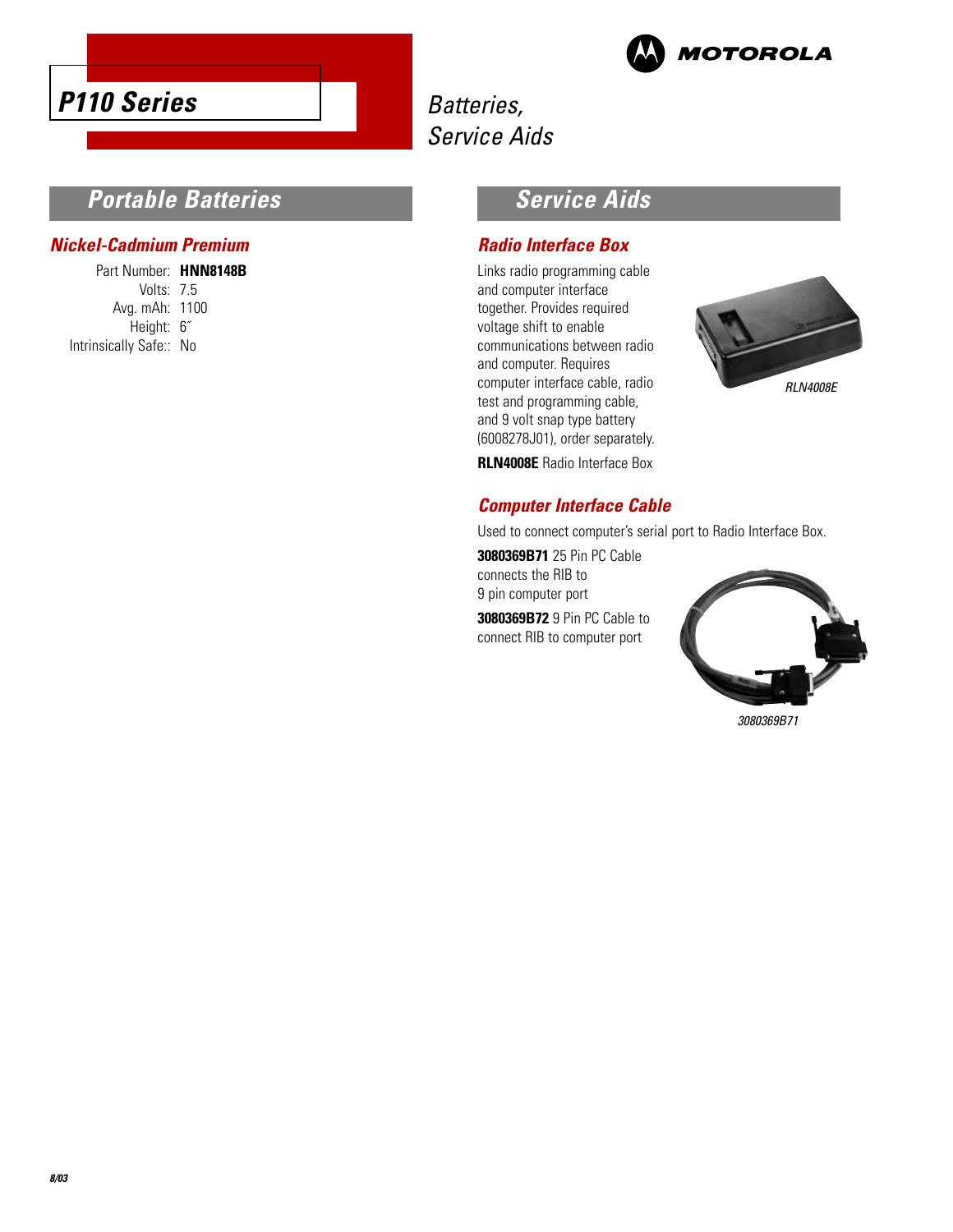



## Batteries, Service Aids

## **Portable Batteries**

#### **Nickel-Cadmium Premium**

Part Number: **HNN8148B** Volts: 7.5 Avg. mAh: 1100 Height: 6˝ Intrinsically Safe:: No

## **Service Aids**

#### **Radio Interface Box**

Links radio programming cable and computer interface together. Provides required voltage shift to enable communications between radio and computer. Requires computer interface cable, radio test and programming cable, and 9 volt snap type battery (6008278J01), order separately. **RLN4008E** Radio Interface Box



**Computer Interface Cable**

Used to connect computer's serial port to Radio Interface Box.

**3080369B71** 25 Pin PC Cable connects the RIB to 9 pin computer port

**3080369B72** 9 Pin PC Cable to connect RIB to computer port



3080369B71